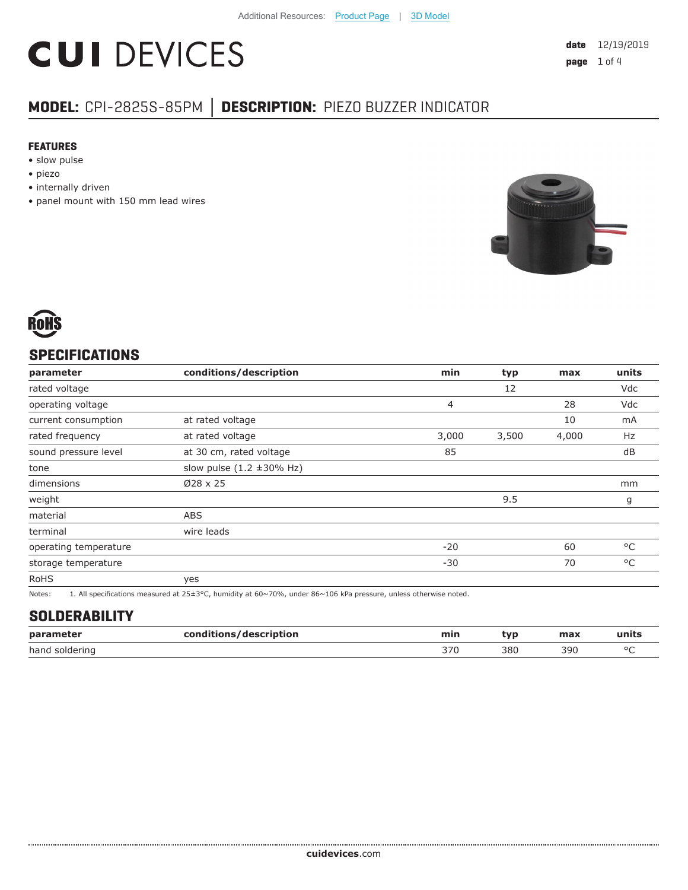# **CUI DEVICES**

## **MODEL:** CPI-2825S-85PM **│ DESCRIPTION:** PIEZO BUZZER INDICATOR

#### **FEATURES**

- slow pulse
- piezo
- internally driven
- panel mount with 150 mm lead wires





### **SPECIFICATIONS**

| parameter             | conditions/description                 | min   | typ   | max   | units |
|-----------------------|----------------------------------------|-------|-------|-------|-------|
| rated voltage         |                                        |       | 12    |       | Vdc   |
| operating voltage     |                                        | 4     |       | 28    | Vdc   |
| current consumption   | at rated voltage                       |       |       | 10    | mA    |
| rated frequency       | at rated voltage                       | 3,000 | 3,500 | 4,000 | Hz    |
| sound pressure level  | at 30 cm, rated voltage                | 85    |       |       | dB    |
| tone                  | slow pulse $(1.2 \pm 30\% \text{ Hz})$ |       |       |       |       |
| dimensions            | $\varnothing$ 28 x 25                  |       |       |       | mm    |
| weight                |                                        |       | 9.5   |       | g     |
| material              | <b>ABS</b>                             |       |       |       |       |
| terminal              | wire leads                             |       |       |       |       |
| operating temperature |                                        | $-20$ |       | 60    | °C    |
| storage temperature   |                                        | $-30$ |       | 70    | °C    |
| <b>RoHS</b>           | yes                                    |       |       |       |       |
|                       |                                        |       |       |       |       |

Notes: 1. All specifications measured at 25±3°C, humidity at 60~70%, under 86~106 kPa pressure, unless otherwise noted.

#### **SOLDERABILITY**

| parameter         | conditions/description | min | VĽ  | max | units   |
|-------------------|------------------------|-----|-----|-----|---------|
| hand<br>soldering |                        | 370 | 38C | 390 | $\circ$ |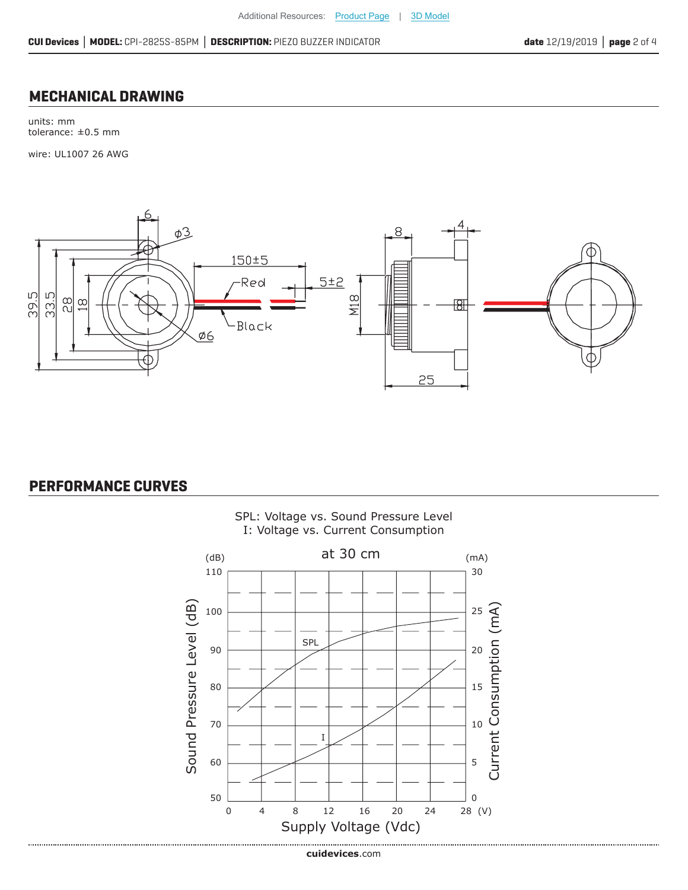#### **MECHANICAL DRAWING**

units: mm tolerance: ±0.5 mm

wire: UL1007 26 AWG



#### **PERFORMANCE CURVES**



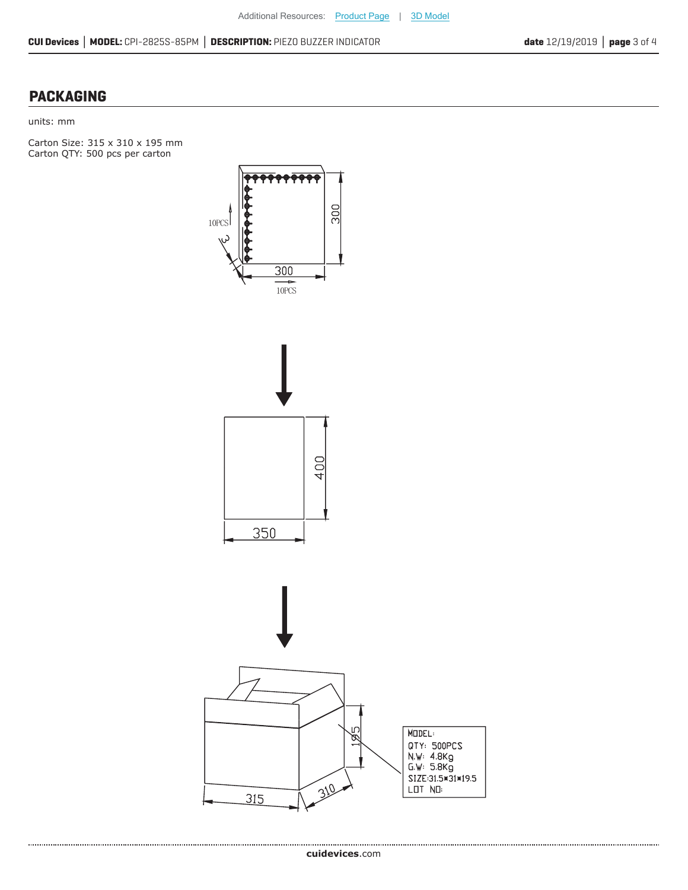### **PACKAGING**

units: mm

Carton Size: 315 x 310 x 195 mm Carton QTY: 500 pcs per carton



............................. **cui[devices](https://www.cuidevices.com/track?actionLabel=Datasheet-ClickThrough-HomePage&label=CPI-2825S-85PM.pdf&path=/)**.com